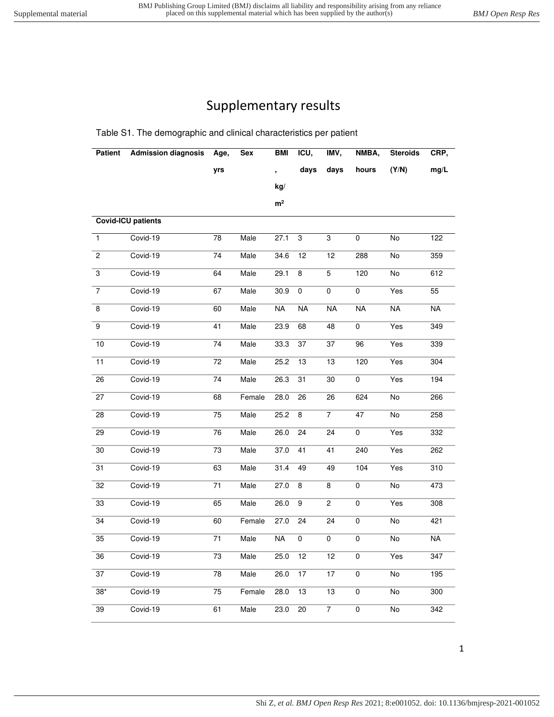## Supplementary results

Table S1. The demographic and clinical characteristics per patient

| <b>Patient</b>  | <b>Admission diagnosis</b> | Age,            | Sex    | BMI                      | ICU,            | IMV,            | NMBA,                    | <b>Steroids</b> | CRP,                     |
|-----------------|----------------------------|-----------------|--------|--------------------------|-----------------|-----------------|--------------------------|-----------------|--------------------------|
|                 |                            | yrs             |        |                          | days            | days            | hours                    | (Y/N)           | mg/L                     |
|                 |                            |                 |        | kg/                      |                 |                 |                          |                 |                          |
|                 |                            |                 |        | m <sup>2</sup>           |                 |                 |                          |                 |                          |
|                 | <b>Covid-ICU patients</b>  |                 |        |                          |                 |                 |                          |                 |                          |
| $\mathbf{1}$    | Covid-19                   | 78              | Male   | 27.1                     | $\overline{3}$  | 3               | 0                        | No              | 122                      |
| $\overline{2}$  | Covid-19                   | 74              | Male   | 34.6                     | 12              | 12              | 288                      | No              | 359                      |
| $\overline{3}$  | Covid-19                   | 64              | Male   | 29.1                     | 8               | $\overline{5}$  | 120                      | No              | 612                      |
| $\overline{7}$  | Covid-19                   | 67              | Male   | 30.9                     | 0               | 0               | 0                        | Yes             | $\overline{55}$          |
| 8               | Covid-19                   | 60              | Male   | NA                       | <b>NA</b>       | NA              | $\overline{\mathsf{NA}}$ | NA              | $\overline{\mathsf{NA}}$ |
| 9               | Covid-19                   | 41              | Male   | 23.9                     | 68              | 48              | 0                        | Yes             | 349                      |
| 10              | Covid-19                   | 74              | Male   | 33.3                     | 37              | 37              | 96                       | Yes             | 339                      |
| 11              | Covid-19                   | $\overline{72}$ | Male   | 25.2                     | 13              | 13              | 120                      | Yes             | 304                      |
| 26              | Covid-19                   | 74              | Male   | 26.3                     | 31              | 30              | 0                        | Yes             | 194                      |
| $\overline{27}$ | Covid-19                   | 68              | Female | 28.0                     | 26              | 26              | 624                      | $\overline{No}$ | 266                      |
| 28              | Covid-19                   | 75              | Male   | 25.2                     | 8               | $\overline{7}$  | $\overline{47}$          | $\overline{No}$ | 258                      |
| $\overline{29}$ | Covid-19                   | $\overline{76}$ | Male   | 26.0                     | 24              | 24              | $\overline{0}$           | Yes             | 332                      |
| 30              | Covid-19                   | 73              | Male   | 37.0                     | 41              | 41              | 240                      | Yes             | 262                      |
| $\overline{31}$ | Covid-19                   | 63              | Male   | 31.4                     | 49              | 49              | 104                      | Yes             | 310                      |
| $\overline{32}$ | Covid-19                   | $\overline{71}$ | Male   | 27.0                     | 8               | 8               | 0                        | $\overline{No}$ | 473                      |
| 33              | Covid-19                   | 65              | Male   | 26.0                     | $\overline{9}$  | 2               | $\overline{\text{o}}$    | Yes             | 308                      |
| 34              | Covid-19                   | 60              | Female | 27.0                     | 24              | 24              | 0                        | No              | 421                      |
| 35              | Covid-19                   | 71              | Male   | $\overline{\mathsf{NA}}$ | 0               | 0               | 0                        | No              | <b>NA</b>                |
| 36              | Covid-19                   | 73              | Male   | 25.0                     | $\overline{12}$ | $\overline{12}$ | 0                        | Yes             | 347                      |
| 37              | Covid-19                   | $\overline{78}$ | Male   | 26.0                     | 17              | 17              | 0                        | No              | 195                      |
| $38*$           | Covid-19                   | 75              | Female | 28.0                     | 13              | 13              | $\overline{0}$           | No              | 300                      |
| 39              | Covid-19                   | 61              | Male   | 23.0                     | $\overline{20}$ | $\overline{7}$  | $\overline{0}$           | No              | 342                      |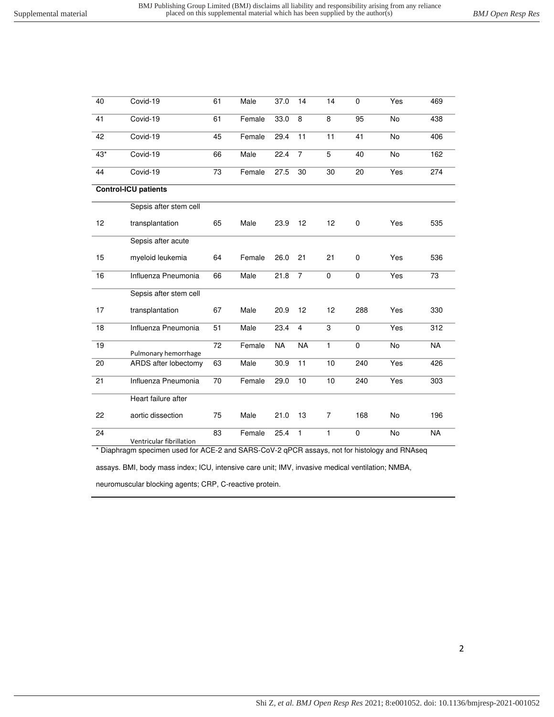| 40              | Covid-19                    | 61 | Male   | 37.0      | 14             | 14             | 0           | Yes       | 469       |
|-----------------|-----------------------------|----|--------|-----------|----------------|----------------|-------------|-----------|-----------|
| 41              | Covid-19                    | 61 | Female | 33.0      | 8              | 8              | 95          | <b>No</b> | 438       |
| 42              | Covid-19                    | 45 | Female | 29.4      | 11             | 11             | 41          | No        | 406       |
| $43*$           | Covid-19                    | 66 | Male   | 22.4      | $\overline{7}$ | 5              | 40          | <b>No</b> | 162       |
| 44              | Covid-19                    | 73 | Female | 27.5      | 30             | 30             | 20          | Yes       | 274       |
|                 | <b>Control-ICU patients</b> |    |        |           |                |                |             |           |           |
|                 | Sepsis after stem cell      |    |        |           |                |                |             |           |           |
| 12              | transplantation             | 65 | Male   | 23.9      | 12             | 12             | 0           | Yes       | 535       |
|                 | Sepsis after acute          |    |        |           |                |                |             |           |           |
| 15              | myeloid leukemia            | 64 | Female | 26.0      | 21             | 21             | 0           | Yes       | 536       |
| 16              | Influenza Pneumonia         | 66 | Male   | 21.8      | $\overline{7}$ | 0              | 0           | Yes       | 73        |
|                 | Sepsis after stem cell      |    |        |           |                |                |             |           |           |
| 17              | transplantation             | 67 | Male   | 20.9      | 12             | 12             | 288         | Yes       | 330       |
| 18              | Influenza Pneumonia         | 51 | Male   | 23.4      | $\overline{4}$ | 3              | $\pmb{0}$   | Yes       | 312       |
| 19              | Pulmonary hemorrhage        | 72 | Female | <b>NA</b> | <b>NA</b>      | $\mathbf{1}$   | 0           | No        | <b>NA</b> |
| $\overline{20}$ | ARDS after lobectomy        | 63 | Male   | 30.9      | 11             | 10             | 240         | Yes       | 426       |
| 21              | Influenza Pneumonia         | 70 | Female | 29.0      | 10             | 10             | 240         | Yes       | 303       |
|                 | Heart failure after         |    |        |           |                |                |             |           |           |
| 22              | aortic dissection           | 75 | Male   | 21.0      | 13             | $\overline{7}$ | 168         | <b>No</b> | 196       |
| 24              | Ventricular fibrillation    | 83 | Female | 25.4      | $\mathbf{1}$   | $\mathbf{1}$   | $\mathbf 0$ | <b>No</b> | <b>NA</b> |

\* Diaphragm specimen used for ACE-2 and SARS-CoV-2 qPCR assays, not for histology and RNAseq

assays. BMI, body mass index; ICU, intensive care unit; IMV, invasive medical ventilation; NMBA,

neuromuscular blocking agents; CRP, C-reactive protein.